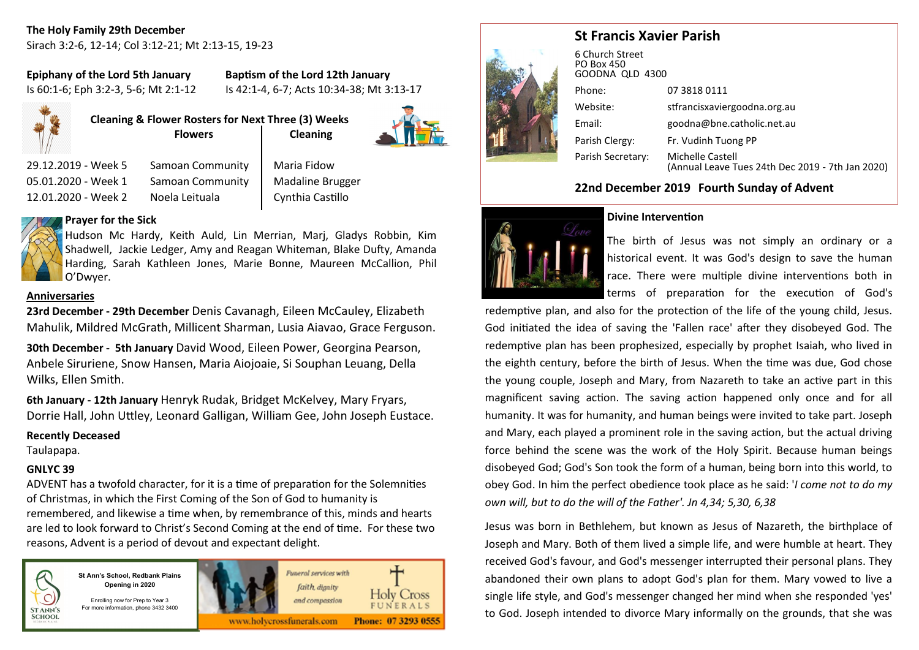# **The Holy Family 29th December**

Sirach 3:2-6, 12-14; Col 3:12-21; Mt 2:13-15, 19-23

# **Epiphany of the Lord 5th January Baptism of the Lord 12th January**  Is 60:1-6; Eph 3:2-3, 5-6; Mt 2:1-12 Is 42:1-4, 6-7; Acts 10:34-38; Mt 3:13-17



**Cleaning & Flower Rosters for Next Three (3) Weeks Flowers Cleaning**



29.12.2019 - Week 5 Samoan Community | Maria Fidow 05.01.2020 - Week 1 Samoan Community Madaline Brugger 12.01.2020 - Week 2 Noela Leituala | Cynthia Castillo



# **Prayer for the Sick**

Hudson Mc Hardy, Keith Auld, Lin Merrian, Marj, Gladys Robbin, Kim Shadwell, Jackie Ledger, Amy and Reagan Whiteman, Blake Dufty, Amanda Harding, Sarah Kathleen Jones, Marie Bonne, Maureen McCallion, Phil O'Dwyer.

### **Anniversaries**

**23rd December - 29th December** Denis Cavanagh, Eileen McCauley, Elizabeth Mahulik, Mildred McGrath, Millicent Sharman, Lusia Aiavao, Grace Ferguson.

**30th December - 5th January** David Wood, Eileen Power, Georgina Pearson, Anbele Siruriene, Snow Hansen, Maria Aiojoaie, Si Souphan Leuang, Della Wilks, Ellen Smith.

**6th January - 12th January** Henryk Rudak, Bridget McKelvey, Mary Fryars, Dorrie Hall, John Uttley, Leonard Galligan, William Gee, John Joseph Eustace.

### **Recently Deceased**

Taulapapa.

### **GNLYC 39**

ADVENT has a twofold character, for it is a time of preparation for the Solemnities of Christmas, in which the First Coming of the Son of God to humanity is remembered, and likewise a time when, by remembrance of this, minds and hearts are led to look forward to Christ's Second Coming at the end of time. For these two reasons, Advent is a period of devout and expectant delight.



**St Ann's School, Redbank Plains Opening in 2020**



Enrolling now for Prep to Year 3 For more information, phone 3432 3400



# **St Francis Xavier Parish**



| 6 Church Street<br>PO Box 450<br>GOODNA QLD 4300 |                                                                      |
|--------------------------------------------------|----------------------------------------------------------------------|
| Phone:                                           | 07 3818 0111                                                         |
| Website:                                         | stfrancisxaviergoodna.org.au                                         |
| Email:                                           | goodna@bne.catholic.net.au                                           |
| Parish Clergy:                                   | Fr. Vudinh Tuong PP                                                  |
| Parish Secretary:                                | Michelle Castell<br>(Annual Leave Tues 24th Dec 2019 - 7th Jan 2020) |

# **22nd December 2019 Fourth Sunday of Advent**



### **Divine Intervention**

The birth of Jesus was not simply an ordinary or a historical event. It was God's design to save the human race. There were multiple divine interventions both in terms of preparation for the execution of God's

redemptive plan, and also for the protection of the life of the young child, Jesus. God initiated the idea of saving the 'Fallen race' after they disobeyed God. The redemptive plan has been prophesized, especially by prophet Isaiah, who lived in the eighth century, before the birth of Jesus. When the time was due, God chose the young couple, Joseph and Mary, from Nazareth to take an active part in this magnificent saving action. The saving action happened only once and for all humanity. It was for humanity, and human beings were invited to take part. Joseph and Mary, each played a prominent role in the saving action, but the actual driving force behind the scene was the work of the Holy Spirit. Because human beings disobeyed God; God's Son took the form of a human, being born into this world, to obey God. In him the perfect obedience took place as he said: '*I come not to do my own will, but to do the will of the Father'. Jn 4,34; 5,30, 6,38*

Jesus was born in Bethlehem, but known as Jesus of Nazareth, the birthplace of Joseph and Mary. Both of them lived a simple life, and were humble at heart. They received God's favour, and God's messenger interrupted their personal plans. They abandoned their own plans to adopt God's plan for them. Mary vowed to live a single life style, and God's messenger changed her mind when she responded 'yes' to God. Joseph intended to divorce Mary informally on the grounds, that she was